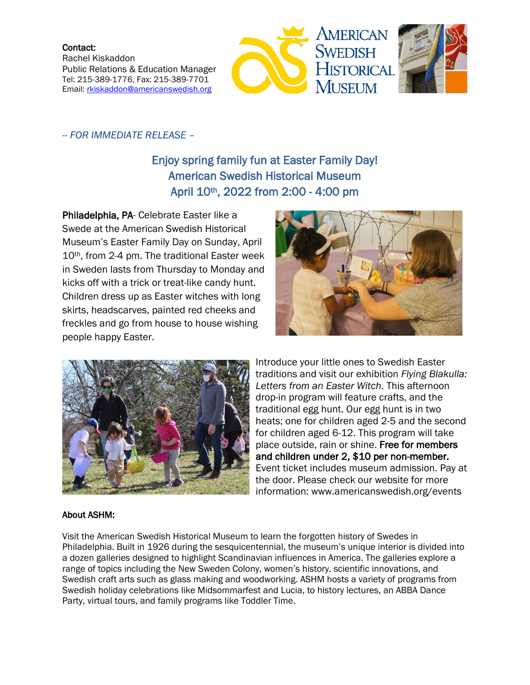Contact: Rachel Kiskaddon Public Relations & Education Manager Tel: 215-389-1776, Fax: 215-389-7701 Email: [rkiskaddon@americanswedish.org](mailto:rkiskaddon@americanswedish.org)





## -- *FOR IMMEDIATE RELEASE* –

## Enjoy spring family fun at Easter Family Day! American Swedish Historical Museum April 10th, 2022 from 2:00 - 4:00 pm

Philadelphia, PA- Celebrate Easter like a Swede at the American Swedish Historical Museum's Easter Family Day on Sunday, April 10th, from 2-4 pm. The traditional Easter week in Sweden lasts from Thursday to Monday and kicks off with a trick or treat-like candy hunt. Children dress up as Easter witches with long skirts, headscarves, painted red cheeks and freckles and go from house to house wishing people happy Easter.





Introduce your little ones to Swedish Easter traditions and visit our exhibition *Flying Blakulla: Letters from an Easter Witch*. This afternoon drop-in program will feature crafts, and the traditional egg hunt. Our egg hunt is in two heats; one for children aged 2-5 and the second for children aged 6-12. This program will take place outside, rain or shine. Free for members and children under 2, \$10 per non-member. Event ticket includes museum admission. Pay at the door. Please check our website for more information: www.americanswedish.org/events

## About ASHM:

Visit the American Swedish Historical Museum to learn the forgotten history of Swedes in Philadelphia. Built in 1926 during the sesquicentennial, the museum's unique interior is divided into a dozen galleries designed to highlight Scandinavian influences in America. The galleries explore a range of topics including the New Sweden Colony, women's history, scientific innovations, and Swedish craft arts such as glass making and woodworking. ASHM hosts a variety of programs from Swedish holiday celebrations like Midsommarfest and Lucia, to history lectures, an ABBA Dance Party, virtual tours, and family programs like Toddler Time.